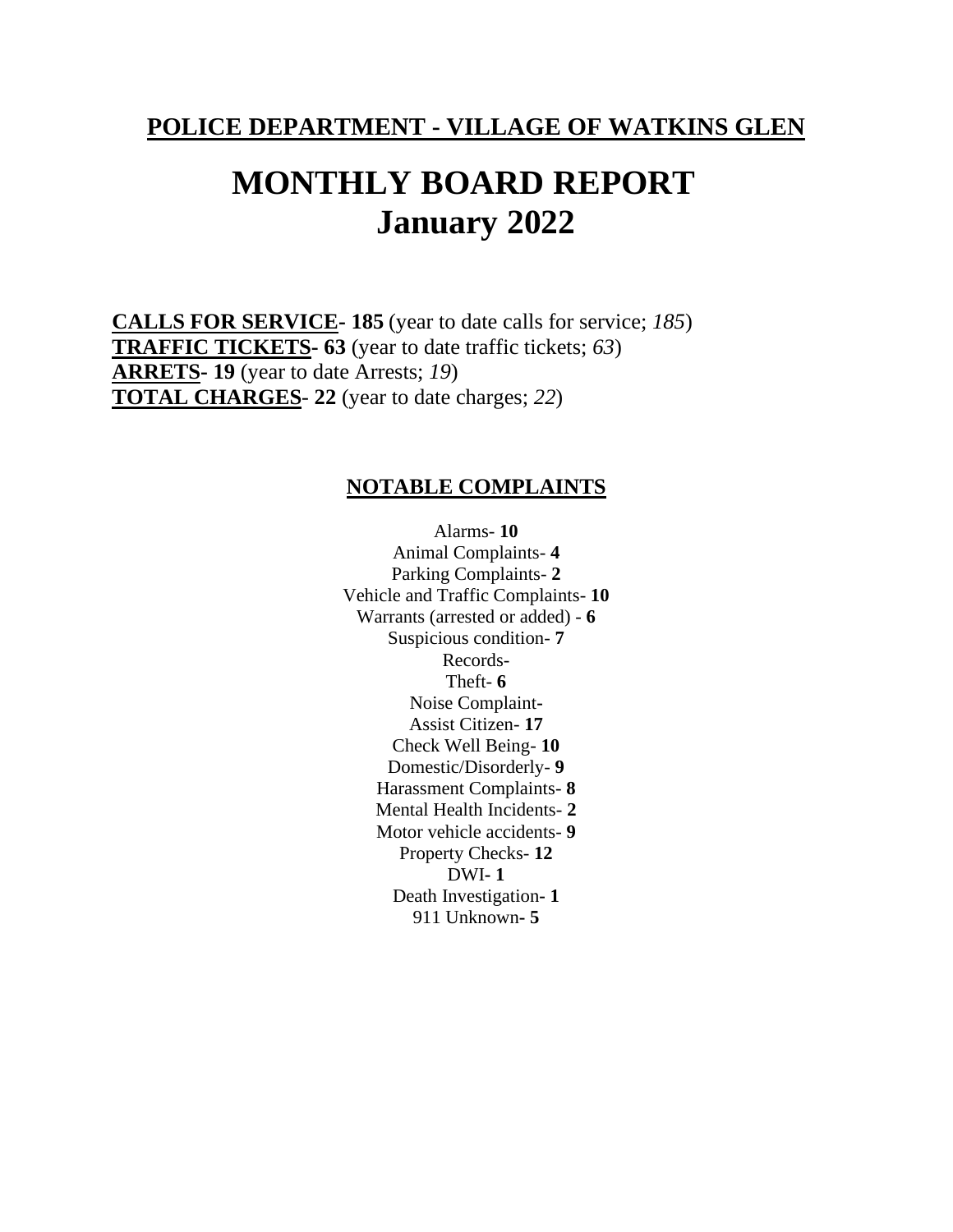**POLICE DEPARTMENT - VILLAGE OF WATKINS GLEN**

## **MONTHLY BOARD REPORT January 2022**

**CALLS FOR SERVICE- 185** (year to date calls for service; *185*) **TRAFFIC TICKETS- 63** (year to date traffic tickets; *63*) **ARRETS- 19** (year to date Arrests; *19*) **TOTAL CHARGES**- **22** (year to date charges; *22*)

## **NOTABLE COMPLAINTS**

Alarms- **10** Animal Complaints- **4** Parking Complaints- **2** Vehicle and Traffic Complaints- **10** Warrants (arrested or added) - **6** Suspicious condition- **7** Records-Theft- **6** Noise Complaint**-**Assist Citizen- **17** Check Well Being- **10** Domestic/Disorderly- **9** Harassment Complaints- **8** Mental Health Incidents- **2** Motor vehicle accidents- **9** Property Checks- **12** DWI**- 1** Death Investigation**- 1** 911 Unknown**- 5**